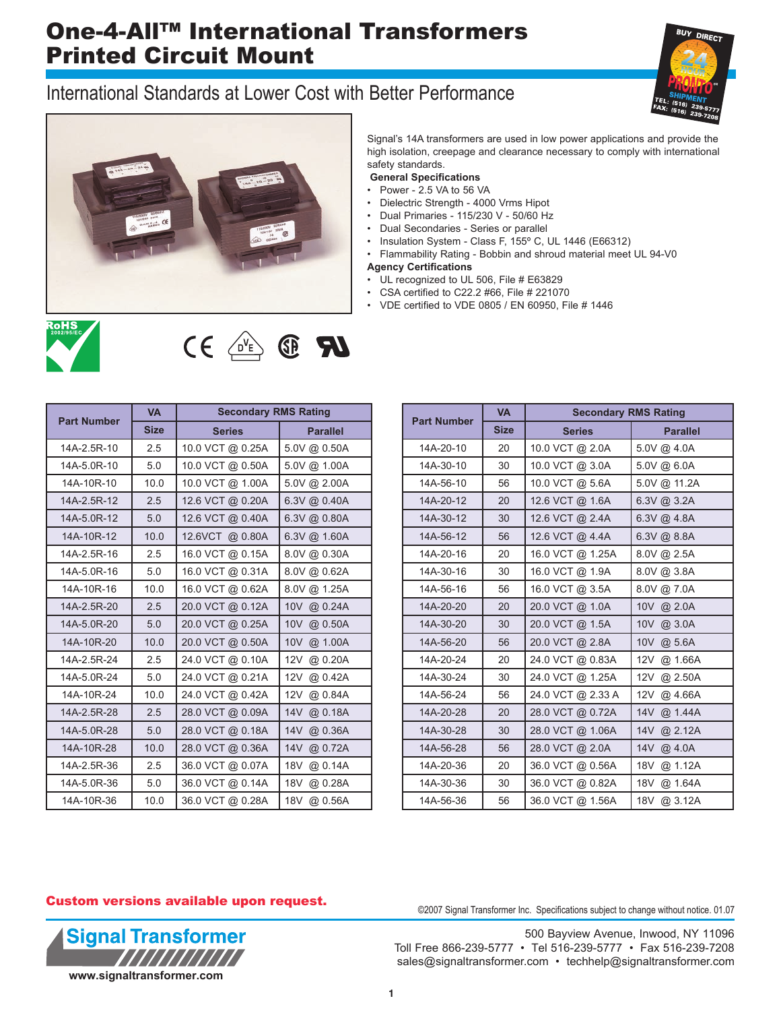## One-4-All™ International Transformers Printed Circuit Mount

## International Standards at Lower Cost with Better Performance





Signal's 14A transformers are used in low power applications and provide the high isolation, creepage and clearance necessary to comply with international safety standards.

**General Specifications**

- Power 2.5 VA to 56 VA
- Dielectric Strength 4000 Vrms Hipot
- Dual Primaries 115/230 V 50/60 Hz
- Dual Secondaries Series or parallel
- Insulation System Class F, 155º C, UL 1446 (E66312)
- Flammability Rating Bobbin and shroud material meet UL 94-V0

#### **Agency Certifications**

- UL recognized to UL 506, File # E63829
- CSA certified to C22.2 #66, File # 221070
- VDE certified to VDE 0805 / EN 60950, File # 1446

| <b>ROHS</b> |
|-------------|
|             |
|             |

# $U$   $\mathbb{R}$   $\mathbb{C}$   $\rightarrow$   $\rightarrow$   $\rightarrow$   $\rightarrow$   $\rightarrow$

| <b>Part Number</b> | <b>VA</b>   | <b>Secondary RMS Rating</b> |                            |  |  |  |
|--------------------|-------------|-----------------------------|----------------------------|--|--|--|
|                    | <b>Size</b> | <b>Series</b>               | <b>Parallel</b>            |  |  |  |
| 14A-2.5R-10        | 2.5         | 10.0 VCT @ 0.25A            | 5.0V @ 0.50A               |  |  |  |
| 14A-5.0R-10        | 5.0         | 10.0 VCT @ 0.50A            | 5.0V @ 1.00A               |  |  |  |
| 14A-10R-10         | 10.0        | 10.0 VCT @ 1.00A            | 5.0V @ 2.00A               |  |  |  |
| 14A-2.5R-12        | 2.5         | 12.6 VCT @ 0.20A            | $6.3V$ @ 0.40A             |  |  |  |
| 14A-5.0R-12        | 5.0         | 12.6 VCT @ 0.40A            | 6.3V @ 0.80A               |  |  |  |
| 14A-10R-12         | 10.0        | 12.6VCT @ 0.80A             | 6.3V @ 1.60A               |  |  |  |
| 14A-2.5R-16        | 2.5         | 16.0 VCT @ 0.15A            | 8.0V @ 0.30A               |  |  |  |
| 14A-5.0R-16        | 5.0         | 16.0 VCT @ 0.31A            | 8.0V @ 0.62A               |  |  |  |
| 14A-10R-16         | 10.0        | 16.0 VCT @ 0.62A            | 8.0V @ 1.25A               |  |  |  |
| 14A-2.5R-20        | 2.5         | 20.0 VCT @ 0.12A            | 10V @ 0.24A                |  |  |  |
| 14A-5.0R-20        | 5.0         | 20.0 VCT @ 0.25A            | 10V<br>@ 0.50A             |  |  |  |
| 14A-10R-20         | 10.0        | 20.0 VCT @ 0.50A            | 10V<br>@ 1.00A             |  |  |  |
| 14A-2.5R-24        | 2.5         | 24.0 VCT @ 0.10A            | 12V<br>@ 0.20A             |  |  |  |
| 14A-5.0R-24        | 5.0         | 24.0 VCT @ 0.21A            | 12V<br>@ 0.42A             |  |  |  |
| 14A-10R-24         | 10.0        | 24.0 VCT @ 0.42A            | 12V<br>@ 0.84A             |  |  |  |
| 14A-2.5R-28        | 2.5         | 28.0 VCT @ 0.09A            | 14V<br>@ 0.18A             |  |  |  |
| 14A-5.0R-28        | 5.0         | 28.0 VCT @ 0.18A            | 14V<br>@ 0.36A             |  |  |  |
| 14A-10R-28         | 10.0        | 28.0 VCT @ 0.36A            | 14V<br>@ 0.72A             |  |  |  |
| 14A-2.5R-36        | 2.5         | 36.0 VCT @ 0.07A            | 18 <sub>V</sub><br>@ 0.14A |  |  |  |
| 14A-5.0R-36        | 5.0         | 36.0 VCT @ 0.14A            | 18V<br>@ 0.28A             |  |  |  |
| 14A-10R-36         | 10.0        | 36.0 VCT @ 0.28A            | 18V<br>@ 0.56A             |  |  |  |

|                    | <b>VA</b>   | <b>Secondary RMS Rating</b> |                 |  |  |  |  |
|--------------------|-------------|-----------------------------|-----------------|--|--|--|--|
| <b>Part Number</b> | <b>Size</b> | <b>Series</b>               | <b>Parallel</b> |  |  |  |  |
| 14A-20-10          | 20          | 10.0 VCT @ 2.0A             | 5.0V @ 4.0A     |  |  |  |  |
| 14A-30-10          | 30          | 10.0 VCT @ 3.0A             | 5.0V @ 6.0A     |  |  |  |  |
| 14A-56-10          | 56          | 10.0 VCT @ 5.6A             | 5.0V @ 11.2A    |  |  |  |  |
| 14A-20-12          | 20          | 12.6 VCT @ 1.6A             | $6.3V$ @ 3.2A   |  |  |  |  |
| 14A-30-12          | 30          | 12.6 VCT @ 2.4A             | $6.3V$ @ 4.8A   |  |  |  |  |
| 14A-56-12          | 56          | 12.6 VCT @ 4.4A             | $6.3V$ @ $8.8A$ |  |  |  |  |
| 14A-20-16          | 20          | 16.0 VCT @ 1.25A            | 8.0V @ 2.5A     |  |  |  |  |
| 14A-30-16          | 30          | 16.0 VCT @ 1.9A             | 8.0V @ 3.8A     |  |  |  |  |
| 14A-56-16          | 56          | 16.0 VCT @ 3.5A             | 8.0V @ 7.0A     |  |  |  |  |
| 14A-20-20          | 20          | 20.0 VCT @ 1.0A             | 10V @ 2.0A      |  |  |  |  |
| 14A-30-20          | 30          | 20.0 VCT @ 1.5A             | 10V @ 3.0A      |  |  |  |  |
| 14A-56-20          | 56          | 20.0 VCT @ 2.8A             | 10V @ 5.6A      |  |  |  |  |
| 14A-20-24          | 20          | 24.0 VCT @ 0.83A            | 12V @ 1.66A     |  |  |  |  |
| 14A-30-24          | 30          | 24.0 VCT @ 1.25A            | 12V<br>@ 2.50A  |  |  |  |  |
| 14A-56-24          | 56          | 24.0 VCT @ 2.33 A           | 12V<br>@ 4.66A  |  |  |  |  |
| 14A-20-28          | 20          | 28.0 VCT @ 0.72A            | 14V<br>@.1.44A  |  |  |  |  |
| 14A-30-28          | 30          | 28.0 VCT @ 1.06A            | 14V<br>@ 2.12A  |  |  |  |  |
| 14A-56-28          | 56          | 28.0 VCT @ 2.0A             | 14V @ 4.0A      |  |  |  |  |
| 14A-20-36          | 20          | 36.0 VCT @ 0.56A            | 18V<br>@ 1.12A  |  |  |  |  |
| 14A-30-36          | 30          | 36.0 VCT @ 0.82A            | 18V<br>@ 1.64A  |  |  |  |  |
| 14A-56-36          | 56          | 36.0 VCT @ 1.56A            | 18V @ 3.12A     |  |  |  |  |

#### Custom versions available upon request.



©2007 Signal Transformer Inc. Specifications subject to change without notice. 01.07

500 Bayview Avenue, Inwood, NY 11096 Toll Free 866-239-5777 • Tel 516-239-5777 • Fax 516-239-7208 sales@signaltransformer.com • techhelp@signaltransformer.com